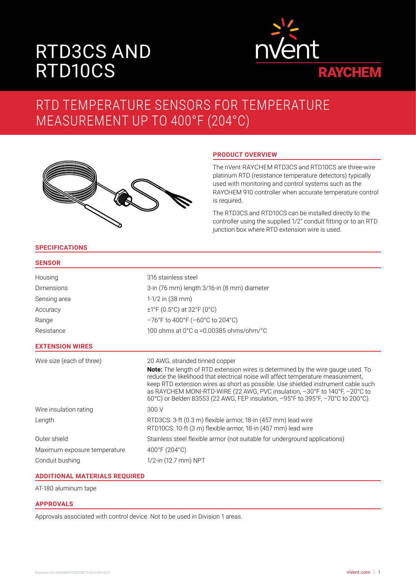# RTD3CS AND RTD10CS



## RTD TEMPERATURE SENSORS FOR TEMPERATURE MEASUREMENT UP TO 400°F (204°C)



### **PRODUCT OVERVIEW**

The nVent RAYCHEM RTD3CS and RTD10CS are three-wire platinum RTD (resistance temperature detectors) typically used with monitoring and control systems such as the RAYCHEM 910 controller when accurate temperature control is required.

The RTD3CS and RTD10CS can be installed directly to the controller using the supplied 1/2" conduit fitting or to an RTD junction box where RTD extension wire is used.

#### **SPECIFICATIONS**

| × | ×<br>٠ | ٠ |  |
|---|--------|---|--|

| Housing                      | 316 stainless steel                                                                                                                                                                                                                                                                                                                                                                                                                                                 |
|------------------------------|---------------------------------------------------------------------------------------------------------------------------------------------------------------------------------------------------------------------------------------------------------------------------------------------------------------------------------------------------------------------------------------------------------------------------------------------------------------------|
| Dimensions                   | 3-in (76 mm) length 3/16-in (8 mm) diameter                                                                                                                                                                                                                                                                                                                                                                                                                         |
| Sensing area                 | $1-1/2$ in $(38$ mm)                                                                                                                                                                                                                                                                                                                                                                                                                                                |
| Accuracy                     | $\pm$ 1°F (0.5°C) at 32°F (0°C)                                                                                                                                                                                                                                                                                                                                                                                                                                     |
| Range                        | $-76^{\circ}$ F to 400°F ( $-60^{\circ}$ C to 204°C)                                                                                                                                                                                                                                                                                                                                                                                                                |
| Resistance                   | 100 ohms at $0^{\circ}$ C $\alpha$ =0.00385 ohms/ohm/ $^{\circ}$ C                                                                                                                                                                                                                                                                                                                                                                                                  |
| <b>EXTENSION WIRES</b>       |                                                                                                                                                                                                                                                                                                                                                                                                                                                                     |
| Wire size (each of three)    | 20 AWG, stranded tinned copper<br><b>Note:</b> The length of RTD extension wires is determined by the wire gauge used. To<br>reduce the likelihood that electrical noise will affect temperature measurement,<br>keep RTD extension wires as short as possible. Use shielded instrument cable such<br>as RAYCHEM MONI-RTD-WIRE (22 AWG, PVC insulation, -30°F to 140°F, -20°C to<br>60°C) or Belden 83553 (22 AWG, FEP insulation, -95°F to 395°F, -70°C to 200°C). |
| Wire insulation rating       | 300 V                                                                                                                                                                                                                                                                                                                                                                                                                                                               |
| Length                       | RTD3CS: 3-ft (0.3 m) flexible armor, 18-in (457 mm) lead wire<br>RTD10CS: 10-ft (3 m) flexible armor, 18-in (457 mm) lead wire                                                                                                                                                                                                                                                                                                                                      |
| Outer shield                 | Stainless steel flexible armor (not suitable for underground applications)                                                                                                                                                                                                                                                                                                                                                                                          |
| Maximum exposure temperature | 400°F (204°C)                                                                                                                                                                                                                                                                                                                                                                                                                                                       |
| Conduit bushing              | 1/2-in (12.7 mm) NPT                                                                                                                                                                                                                                                                                                                                                                                                                                                |
|                              |                                                                                                                                                                                                                                                                                                                                                                                                                                                                     |

#### **ADDITIONAL MATERIALS REQUIRED**

AT-180 aluminum tape

#### **APPROVALS**

Approvals associated with control device. Not to be used in Division 1 areas.